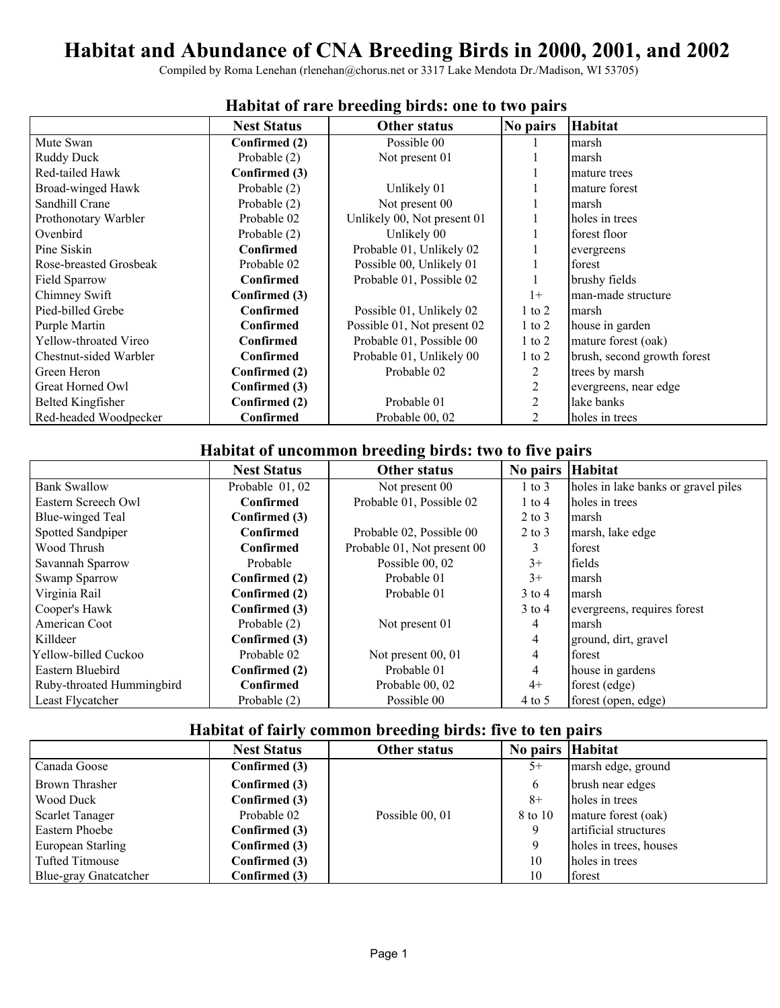# **Habitat and Abundance of CNA Breeding Birds in 2000, 2001, and 2002**

Compiled by Roma Lenehan (rlenehan@chorus.net or 3317 Lake Mendota Dr./Madison, WI 53705)

|                          | <b>Nest Status</b> | <b>Other status</b>         | No pairs   | <b>Habitat</b>              |
|--------------------------|--------------------|-----------------------------|------------|-----------------------------|
| Mute Swan                | Confirmed (2)      | Possible 00                 |            | marsh                       |
| <b>Ruddy Duck</b>        | Probable (2)       | Not present 01              |            | marsh                       |
| Red-tailed Hawk          | Confirmed (3)      |                             |            | mature trees                |
| Broad-winged Hawk        | Probable (2)       | Unlikely 01                 |            | mature forest               |
| Sandhill Crane           | Probable (2)       | Not present 00              |            | marsh                       |
| Prothonotary Warbler     | Probable 02        | Unlikely 00, Not present 01 |            | holes in trees              |
| Ovenbird                 | Probable (2)       | Unlikely 00                 |            | forest floor                |
| Pine Siskin              | Confirmed          | Probable 01, Unlikely 02    |            | evergreens                  |
| Rose-breasted Grosbeak   | Probable 02        | Possible 00, Unlikely 01    |            | forest                      |
| Field Sparrow            | <b>Confirmed</b>   | Probable 01, Possible 02    |            | brushy fields               |
| Chimney Swift            | Confirmed (3)      |                             | $1+$       | man-made structure          |
| Pied-billed Grebe        | Confirmed          | Possible 01, Unlikely 02    | $1$ to $2$ | marsh                       |
| Purple Martin            | Confirmed          | Possible 01, Not present 02 | $1$ to $2$ | house in garden             |
| Yellow-throated Vireo    | Confirmed          | Probable 01, Possible 00    | $1$ to $2$ | mature forest (oak)         |
| Chestnut-sided Warbler   | Confirmed          | Probable 01, Unlikely 00    | $1$ to $2$ | brush, second growth forest |
| Green Heron              | Confirmed (2)      | Probable 02                 | 2          | trees by marsh              |
| Great Horned Owl         | Confirmed (3)      |                             | 2          | evergreens, near edge       |
| <b>Belted Kingfisher</b> | Confirmed (2)      | Probable 01                 | 2          | lake banks                  |
| Red-headed Woodpecker    | <b>Confirmed</b>   | Probable 00, 02             | 2          | holes in trees              |

#### **Habitat of rare breeding birds: one to two pairs**

### **Habitat of uncommon breeding birds: two to five pairs**

|                           | <b>Nest Status</b> | <b>Other status</b>         | No pairs Habitat |                                     |
|---------------------------|--------------------|-----------------------------|------------------|-------------------------------------|
| <b>Bank Swallow</b>       | Probable 01, 02    | Not present 00              | $1$ to $3$       | holes in lake banks or gravel piles |
| Eastern Screech Owl       | Confirmed          | Probable 01, Possible 02    | $1$ to $4$       | holes in trees                      |
| Blue-winged Teal          | Confirmed (3)      |                             | $2$ to $3$       | marsh                               |
| Spotted Sandpiper         | <b>Confirmed</b>   | Probable 02, Possible 00    | $2$ to $3$       | marsh, lake edge                    |
| Wood Thrush               | Confirmed          | Probable 01, Not present 00 | 3                | forest                              |
| Savannah Sparrow          | Probable           | Possible 00, 02             | $3+$             | fields                              |
| Swamp Sparrow             | Confirmed (2)      | Probable 01                 | $3+$             | marsh                               |
| Virginia Rail             | Confirmed (2)      | Probable 01                 | $3$ to 4         | marsh                               |
| Cooper's Hawk             | Confirmed (3)      |                             | $3$ to 4         | evergreens, requires forest         |
| American Coot             | Probable (2)       | Not present 01              | 4                | marsh                               |
| Killdeer                  | Confirmed (3)      |                             | 4                | ground, dirt, gravel                |
| Yellow-billed Cuckoo      | Probable 02        | Not present 00, 01          | 4                | forest                              |
| Eastern Bluebird          | Confirmed (2)      | Probable 01                 | 4                | house in gardens                    |
| Ruby-throated Hummingbird | Confirmed          | Probable 00, 02             | $4+$             | forest (edge)                       |
| Least Flycatcher          | Probable (2)       | Possible 00                 | $4$ to 5         | forest (open, edge)                 |

# **Habitat of fairly common breeding birds: five to ten pairs**

|                        |                    | o               |                  |                        |
|------------------------|--------------------|-----------------|------------------|------------------------|
|                        | <b>Nest Status</b> | Other status    | No pairs Habitat |                        |
| Canada Goose           | Confirmed (3)      |                 | $5+$             | marsh edge, ground     |
| <b>Brown Thrasher</b>  | Confirmed (3)      |                 | 6                | brush near edges       |
| Wood Duck              | Confirmed (3)      |                 | $8+$             | holes in trees         |
| <b>Scarlet Tanager</b> | Probable 02        | Possible 00, 01 | 8 to 10          | mature forest (oak)    |
| Eastern Phoebe         | Confirmed (3)      |                 | 9                | artificial structures  |
| European Starling      | Confirmed (3)      |                 |                  | holes in trees, houses |
| Tufted Titmouse        | Confirmed (3)      |                 | 10               | holes in trees         |
| Blue-gray Gnatcatcher  | Confirmed (3)      |                 | 10               | forest                 |